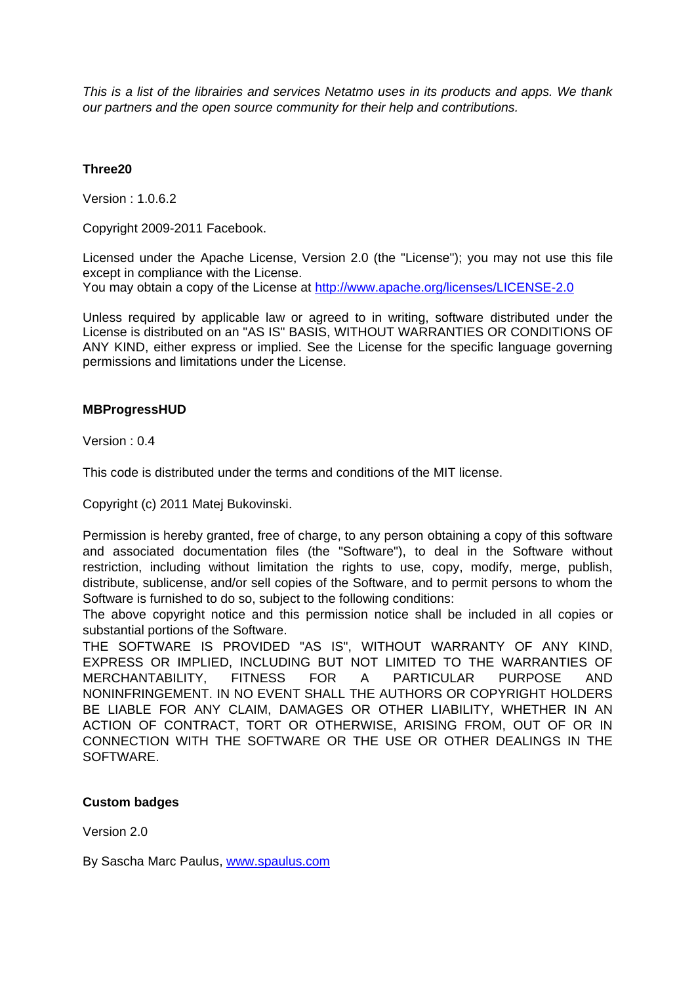*This is a list of the librairies and services Netatmo uses in its products and apps. We thank our partners and the open source community for their help and contributions.*

# **Three20**

Version : 1.0.6.2

Copyright 2009-2011 Facebook.

Licensed under the Apache License, Version 2.0 (the "License"); you may not use this file except in compliance with the License. You may obtain a copy of the License at <http://www.apache.org/licenses/LICENSE-2.0>

Unless required by applicable law or agreed to in writing, software distributed under the

License is distributed on an "AS IS" BASIS, WITHOUT WARRANTIES OR CONDITIONS OF ANY KIND, either express or implied. See the License for the specific language governing permissions and limitations under the License.

# **MBProgressHUD**

Version : 0.4

This code is distributed under the terms and conditions of the MIT license.

Copyright (c) 2011 Matej Bukovinski.

Permission is hereby granted, free of charge, to any person obtaining a copy of this software and associated documentation files (the "Software"), to deal in the Software without restriction, including without limitation the rights to use, copy, modify, merge, publish, distribute, sublicense, and/or sell copies of the Software, and to permit persons to whom the Software is furnished to do so, subject to the following conditions:

The above copyright notice and this permission notice shall be included in all copies or substantial portions of the Software.

THE SOFTWARE IS PROVIDED "AS IS", WITHOUT WARRANTY OF ANY KIND, EXPRESS OR IMPLIED, INCLUDING BUT NOT LIMITED TO THE WARRANTIES OF MERCHANTABILITY, FITNESS FOR A PARTICULAR PURPOSE AND NONINFRINGEMENT. IN NO EVENT SHALL THE AUTHORS OR COPYRIGHT HOLDERS BE LIABLE FOR ANY CLAIM, DAMAGES OR OTHER LIABILITY, WHETHER IN AN ACTION OF CONTRACT, TORT OR OTHERWISE, ARISING FROM, OUT OF OR IN CONNECTION WITH THE SOFTWARE OR THE USE OR OTHER DEALINGS IN THE SOFTWARE.

# **Custom badges**

Version 2.0

By Sascha Marc Paulus, [www.spaulus.com](http://www.spaulus.com/)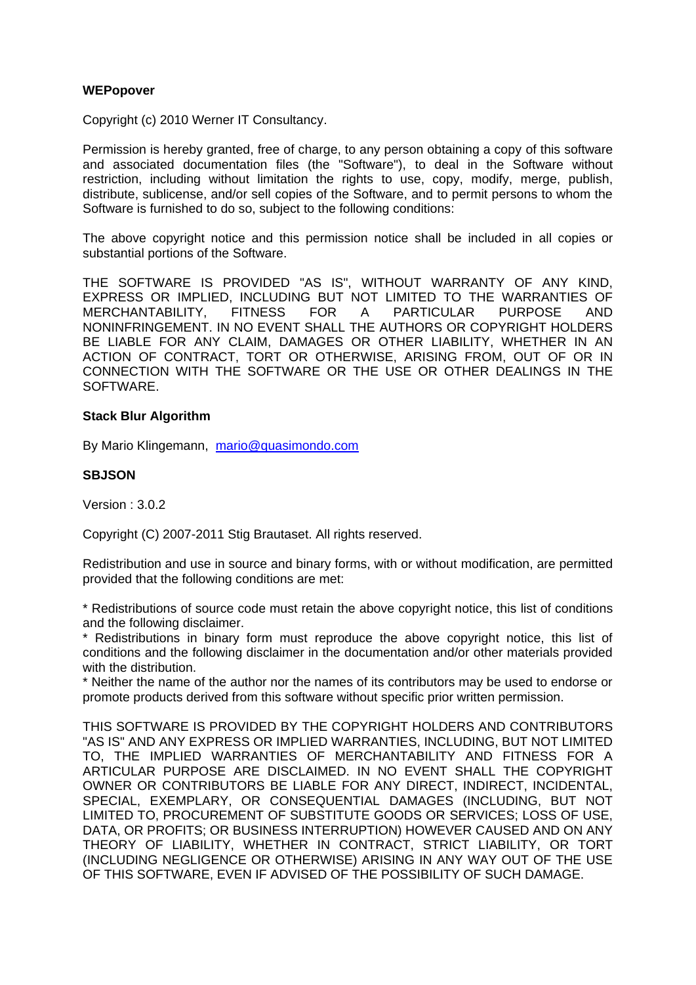## **WEPopover**

Copyright (c) 2010 Werner IT Consultancy.

Permission is hereby granted, free of charge, to any person obtaining a copy of this software and associated documentation files (the "Software"), to deal in the Software without restriction, including without limitation the rights to use, copy, modify, merge, publish, distribute, sublicense, and/or sell copies of the Software, and to permit persons to whom the Software is furnished to do so, subject to the following conditions:

The above copyright notice and this permission notice shall be included in all copies or substantial portions of the Software.

THE SOFTWARE IS PROVIDED "AS IS", WITHOUT WARRANTY OF ANY KIND, EXPRESS OR IMPLIED, INCLUDING BUT NOT LIMITED TO THE WARRANTIES OF MERCHANTABILITY, FITNESS FOR A PARTICULAR PURPOSE AND NONINFRINGEMENT. IN NO EVENT SHALL THE AUTHORS OR COPYRIGHT HOLDERS BE LIABLE FOR ANY CLAIM, DAMAGES OR OTHER LIABILITY, WHETHER IN AN ACTION OF CONTRACT, TORT OR OTHERWISE, ARISING FROM, OUT OF OR IN CONNECTION WITH THE SOFTWARE OR THE USE OR OTHER DEALINGS IN THE SOFTWARE.

## **Stack Blur Algorithm**

By Mario Klingemann, [mario@quasimondo.com](mailto:mario@quasimondo.com)

## **SBJSON**

Version : 3.0.2

Copyright (C) 2007-2011 Stig Brautaset. All rights reserved.

Redistribution and use in source and binary forms, with or without modification, are permitted provided that the following conditions are met:

\* Redistributions of source code must retain the above copyright notice, this list of conditions and the following disclaimer.

Redistributions in binary form must reproduce the above copyright notice, this list of conditions and the following disclaimer in the documentation and/or other materials provided with the distribution.

\* Neither the name of the author nor the names of its contributors may be used to endorse or promote products derived from this software without specific prior written permission.

THIS SOFTWARE IS PROVIDED BY THE COPYRIGHT HOLDERS AND CONTRIBUTORS "AS IS" AND ANY EXPRESS OR IMPLIED WARRANTIES, INCLUDING, BUT NOT LIMITED TO, THE IMPLIED WARRANTIES OF MERCHANTABILITY AND FITNESS FOR A ARTICULAR PURPOSE ARE DISCLAIMED. IN NO EVENT SHALL THE COPYRIGHT OWNER OR CONTRIBUTORS BE LIABLE FOR ANY DIRECT, INDIRECT, INCIDENTAL, SPECIAL, EXEMPLARY, OR CONSEQUENTIAL DAMAGES (INCLUDING, BUT NOT LIMITED TO, PROCUREMENT OF SUBSTITUTE GOODS OR SERVICES; LOSS OF USE, DATA, OR PROFITS; OR BUSINESS INTERRUPTION) HOWEVER CAUSED AND ON ANY THEORY OF LIABILITY, WHETHER IN CONTRACT, STRICT LIABILITY, OR TORT (INCLUDING NEGLIGENCE OR OTHERWISE) ARISING IN ANY WAY OUT OF THE USE OF THIS SOFTWARE, EVEN IF ADVISED OF THE POSSIBILITY OF SUCH DAMAGE.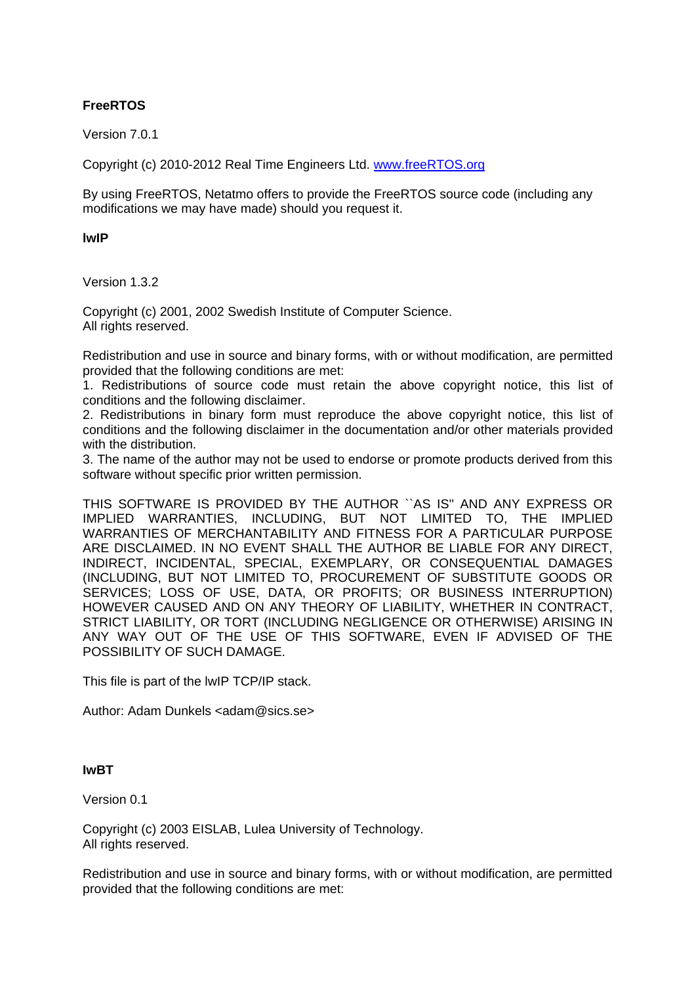# **FreeRTOS**

Version 7.0.1

Copyright (c) 2010-2012 Real Time Engineers Ltd. [www.freeRTOS.org](http://www.freertos.org/)

By using FreeRTOS, Netatmo offers to provide the FreeRTOS source code (including any modifications we may have made) should you request it.

**lwIP**

Version 1.3.2

Copyright (c) 2001, 2002 Swedish Institute of Computer Science. All rights reserved.

Redistribution and use in source and binary forms, with or without modification, are permitted provided that the following conditions are met:

1. Redistributions of source code must retain the above copyright notice, this list of conditions and the following disclaimer.

2. Redistributions in binary form must reproduce the above copyright notice, this list of conditions and the following disclaimer in the documentation and/or other materials provided with the distribution.

3. The name of the author may not be used to endorse or promote products derived from this software without specific prior written permission.

THIS SOFTWARE IS PROVIDED BY THE AUTHOR ``AS IS'' AND ANY EXPRESS OR IMPLIED WARRANTIES, INCLUDING, BUT NOT LIMITED TO, THE IMPLIED WARRANTIES OF MERCHANTABILITY AND FITNESS FOR A PARTICULAR PURPOSE ARE DISCLAIMED. IN NO EVENT SHALL THE AUTHOR BE LIABLE FOR ANY DIRECT, INDIRECT, INCIDENTAL, SPECIAL, EXEMPLARY, OR CONSEQUENTIAL DAMAGES (INCLUDING, BUT NOT LIMITED TO, PROCUREMENT OF SUBSTITUTE GOODS OR SERVICES; LOSS OF USE, DATA, OR PROFITS; OR BUSINESS INTERRUPTION) HOWEVER CAUSED AND ON ANY THEORY OF LIABILITY, WHETHER IN CONTRACT, STRICT LIABILITY, OR TORT (INCLUDING NEGLIGENCE OR OTHERWISE) ARISING IN ANY WAY OUT OF THE USE OF THIS SOFTWARE, EVEN IF ADVISED OF THE POSSIBILITY OF SUCH DAMAGE.

This file is part of the lwIP TCP/IP stack.

Author: Adam Dunkels <adam@sics.se>

#### **IwBT**

Version 0.1

Copyright (c) 2003 EISLAB, Lulea University of Technology. All rights reserved.

Redistribution and use in source and binary forms, with or without modification, are permitted provided that the following conditions are met: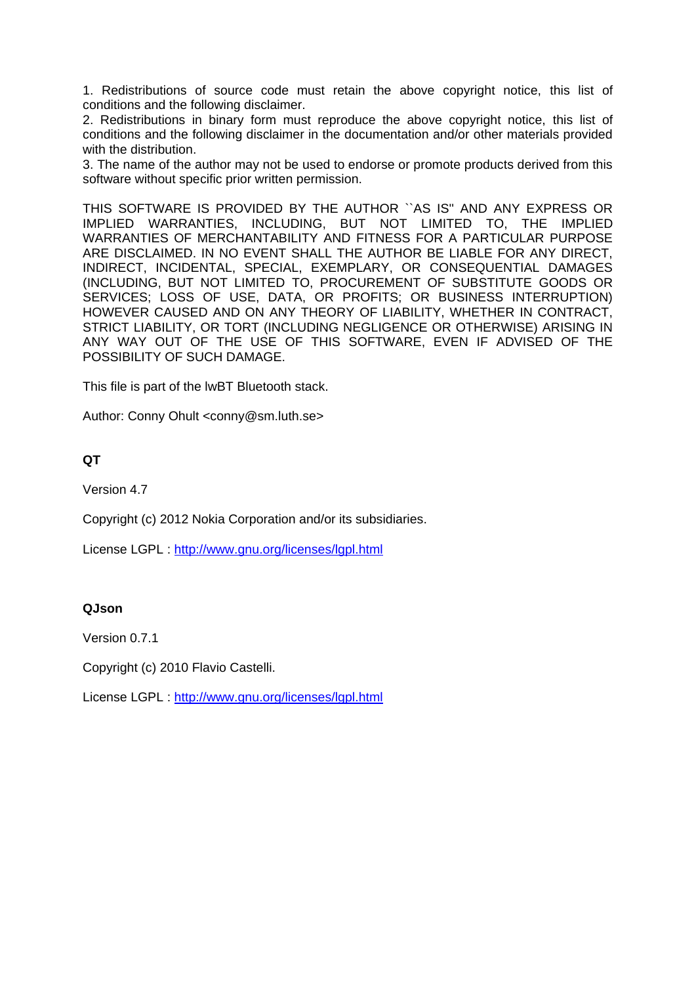1. Redistributions of source code must retain the above copyright notice, this list of conditions and the following disclaimer.

2. Redistributions in binary form must reproduce the above copyright notice, this list of conditions and the following disclaimer in the documentation and/or other materials provided with the distribution.

3. The name of the author may not be used to endorse or promote products derived from this software without specific prior written permission.

THIS SOFTWARE IS PROVIDED BY THE AUTHOR ``AS IS'' AND ANY EXPRESS OR IMPLIED WARRANTIES, INCLUDING, BUT NOT LIMITED TO, THE IMPLIED WARRANTIES OF MERCHANTABILITY AND FITNESS FOR A PARTICULAR PURPOSE ARE DISCLAIMED. IN NO EVENT SHALL THE AUTHOR BE LIABLE FOR ANY DIRECT, INDIRECT, INCIDENTAL, SPECIAL, EXEMPLARY, OR CONSEQUENTIAL DAMAGES (INCLUDING, BUT NOT LIMITED TO, PROCUREMENT OF SUBSTITUTE GOODS OR SERVICES; LOSS OF USE, DATA, OR PROFITS; OR BUSINESS INTERRUPTION) HOWEVER CAUSED AND ON ANY THEORY OF LIABILITY, WHETHER IN CONTRACT, STRICT LIABILITY, OR TORT (INCLUDING NEGLIGENCE OR OTHERWISE) ARISING IN ANY WAY OUT OF THE USE OF THIS SOFTWARE, EVEN IF ADVISED OF THE POSSIBILITY OF SUCH DAMAGE.

This file is part of the lwBT Bluetooth stack.

Author: Conny Ohult <conny@sm.luth.se>

# **QT**

Version 4.7

Copyright (c) 2012 Nokia Corporation and/or its subsidiaries.

License LGPL :<http://www.gnu.org/licenses/lgpl.html>

# **QJson**

Version 0.7.1

Copyright (c) 2010 Flavio Castelli.

License LGPL :<http://www.gnu.org/licenses/lgpl.html>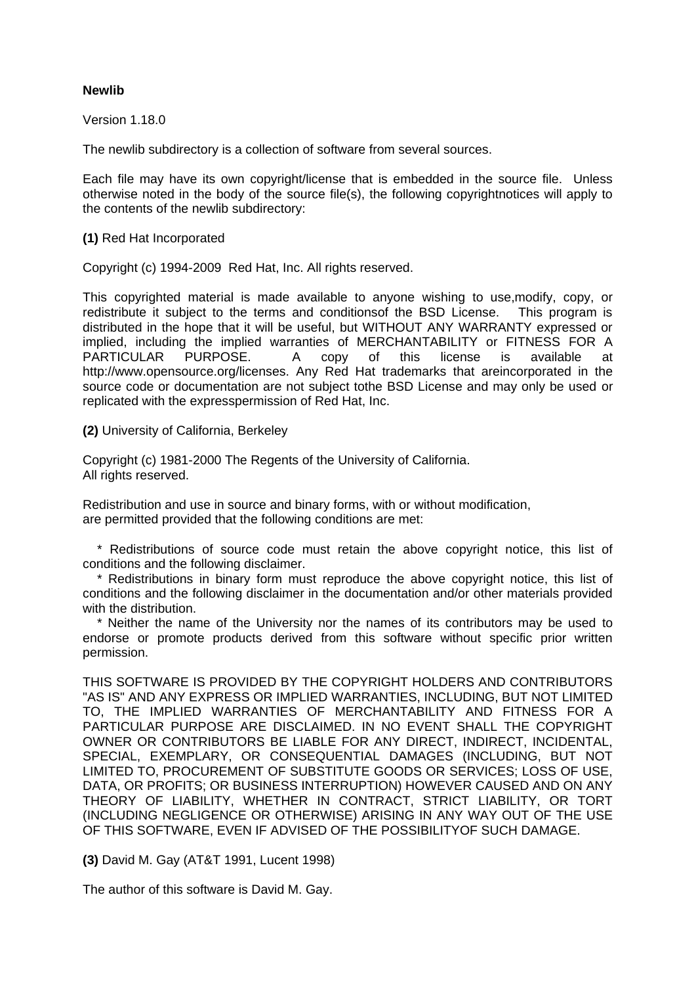## **Newlib**

Version 1.18.0

The newlib subdirectory is a collection of software from several sources.

Each file may have its own copyright/license that is embedded in the source file. Unless otherwise noted in the body of the source file(s), the following copyrightnotices will apply to the contents of the newlib subdirectory:

**(1)** Red Hat Incorporated

Copyright (c) 1994-2009 Red Hat, Inc. All rights reserved.

This copyrighted material is made available to anyone wishing to use,modify, copy, or redistribute it subject to the terms and conditionsof the BSD License. This program is distributed in the hope that it will be useful, but WITHOUT ANY WARRANTY expressed or implied, including the implied warranties of MERCHANTABILITY or FITNESS FOR A PARTICULAR PURPOSE. A copy of this license is available at http://www.opensource.org/licenses. Any Red Hat trademarks that areincorporated in the source code or documentation are not subject tothe BSD License and may only be used or replicated with the expresspermission of Red Hat, Inc.

**(2)** University of California, Berkeley

Copyright (c) 1981-2000 The Regents of the University of California. All rights reserved.

Redistribution and use in source and binary forms, with or without modification, are permitted provided that the following conditions are met:

 \* Redistributions of source code must retain the above copyright notice, this list of conditions and the following disclaimer.

 \* Redistributions in binary form must reproduce the above copyright notice, this list of conditions and the following disclaimer in the documentation and/or other materials provided with the distribution.

 \* Neither the name of the University nor the names of its contributors may be used to endorse or promote products derived from this software without specific prior written permission.

THIS SOFTWARE IS PROVIDED BY THE COPYRIGHT HOLDERS AND CONTRIBUTORS "AS IS" AND ANY EXPRESS OR IMPLIED WARRANTIES, INCLUDING, BUT NOT LIMITED TO, THE IMPLIED WARRANTIES OF MERCHANTABILITY AND FITNESS FOR A PARTICULAR PURPOSE ARE DISCLAIMED. IN NO EVENT SHALL THE COPYRIGHT OWNER OR CONTRIBUTORS BE LIABLE FOR ANY DIRECT, INDIRECT, INCIDENTAL, SPECIAL, EXEMPLARY, OR CONSEQUENTIAL DAMAGES (INCLUDING, BUT NOT LIMITED TO, PROCUREMENT OF SUBSTITUTE GOODS OR SERVICES; LOSS OF USE, DATA, OR PROFITS; OR BUSINESS INTERRUPTION) HOWEVER CAUSED AND ON ANY THEORY OF LIABILITY, WHETHER IN CONTRACT, STRICT LIABILITY, OR TORT (INCLUDING NEGLIGENCE OR OTHERWISE) ARISING IN ANY WAY OUT OF THE USE OF THIS SOFTWARE, EVEN IF ADVISED OF THE POSSIBILITYOF SUCH DAMAGE.

**(3)** David M. Gay (AT&T 1991, Lucent 1998)

The author of this software is David M. Gay.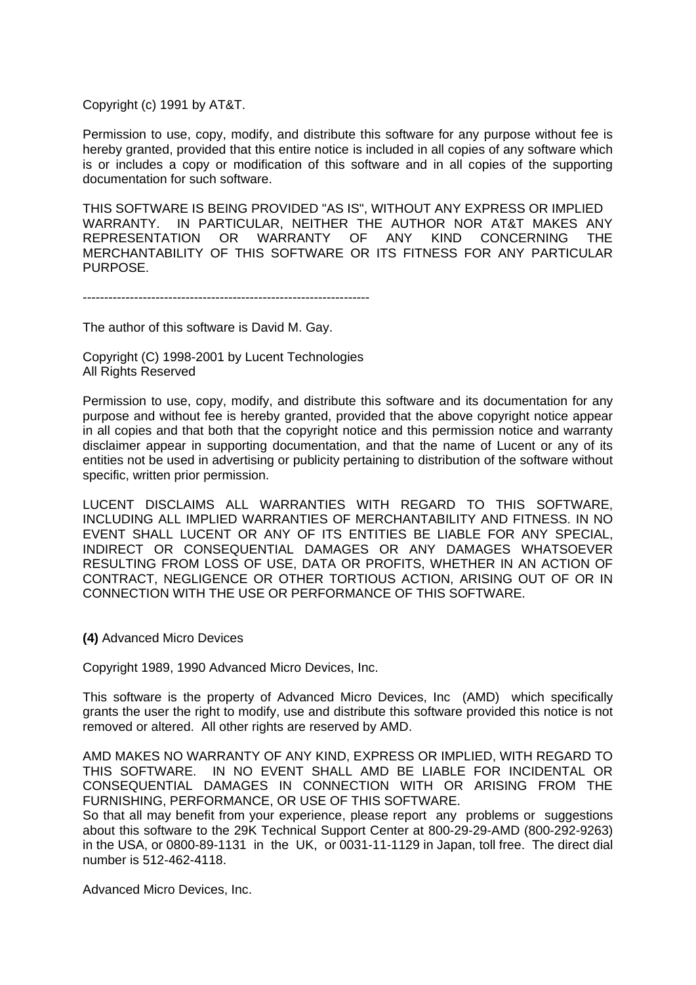Copyright (c) 1991 by AT&T.

Permission to use, copy, modify, and distribute this software for any purpose without fee is hereby granted, provided that this entire notice is included in all copies of any software which is or includes a copy or modification of this software and in all copies of the supporting documentation for such software.

THIS SOFTWARE IS BEING PROVIDED "AS IS", WITHOUT ANY EXPRESS OR IMPLIED WARRANTY. IN PARTICULAR, NEITHER THE AUTHOR NOR AT&T MAKES ANY REPRESENTATION OR WARRANTY OF ANY KIND CONCERNING THE REPRESENTATION OR WARRANTY OF ANY KIND CONCERNING THE MERCHANTABILITY OF THIS SOFTWARE OR ITS FITNESS FOR ANY PARTICULAR PURPOSE.

-------------------------------------------------------------------

The author of this software is David M. Gay.

Copyright (C) 1998-2001 by Lucent Technologies All Rights Reserved

Permission to use, copy, modify, and distribute this software and its documentation for any purpose and without fee is hereby granted, provided that the above copyright notice appear in all copies and that both that the copyright notice and this permission notice and warranty disclaimer appear in supporting documentation, and that the name of Lucent or any of its entities not be used in advertising or publicity pertaining to distribution of the software without specific, written prior permission.

LUCENT DISCLAIMS ALL WARRANTIES WITH REGARD TO THIS SOFTWARE, INCLUDING ALL IMPLIED WARRANTIES OF MERCHANTABILITY AND FITNESS. IN NO EVENT SHALL LUCENT OR ANY OF ITS ENTITIES BE LIABLE FOR ANY SPECIAL, INDIRECT OR CONSEQUENTIAL DAMAGES OR ANY DAMAGES WHATSOEVER RESULTING FROM LOSS OF USE, DATA OR PROFITS, WHETHER IN AN ACTION OF CONTRACT, NEGLIGENCE OR OTHER TORTIOUS ACTION, ARISING OUT OF OR IN CONNECTION WITH THE USE OR PERFORMANCE OF THIS SOFTWARE.

**(4)** Advanced Micro Devices

Copyright 1989, 1990 Advanced Micro Devices, Inc.

This software is the property of Advanced Micro Devices, Inc (AMD) which specifically grants the user the right to modify, use and distribute this software provided this notice is not removed or altered. All other rights are reserved by AMD.

AMD MAKES NO WARRANTY OF ANY KIND, EXPRESS OR IMPLIED, WITH REGARD TO THIS SOFTWARE. IN NO EVENT SHALL AMD BE LIABLE FOR INCIDENTAL OR CONSEQUENTIAL DAMAGES IN CONNECTION WITH OR ARISING FROM THE FURNISHING, PERFORMANCE, OR USE OF THIS SOFTWARE.

So that all may benefit from your experience, please report any problems or suggestions about this software to the 29K Technical Support Center at 800-29-29-AMD (800-292-9263) in the USA, or 0800-89-1131 in the UK, or 0031-11-1129 in Japan, toll free. The direct dial number is 512-462-4118.

Advanced Micro Devices, Inc.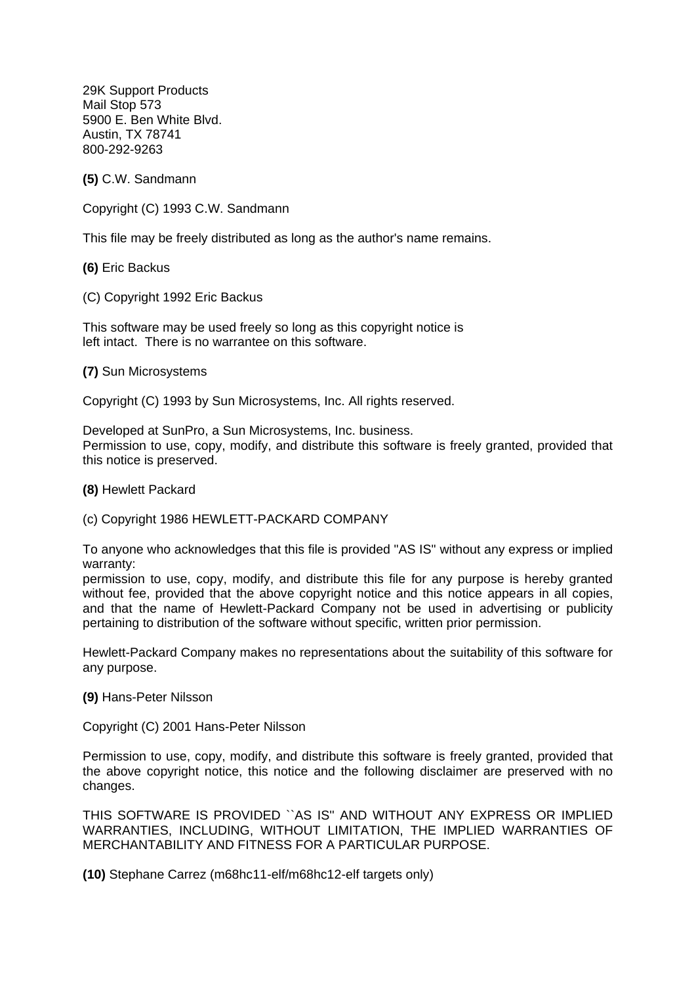29K Support Products Mail Stop 573 5900 E. Ben White Blvd. Austin, TX 78741 800-292-9263

**(5)** C.W. Sandmann

Copyright (C) 1993 C.W. Sandmann

This file may be freely distributed as long as the author's name remains.

**(6)** Eric Backus

(C) Copyright 1992 Eric Backus

This software may be used freely so long as this copyright notice is left intact. There is no warrantee on this software.

**(7)** Sun Microsystems

Copyright (C) 1993 by Sun Microsystems, Inc. All rights reserved.

Developed at SunPro, a Sun Microsystems, Inc. business. Permission to use, copy, modify, and distribute this software is freely granted, provided that this notice is preserved.

**(8)** Hewlett Packard

(c) Copyright 1986 HEWLETT-PACKARD COMPANY

To anyone who acknowledges that this file is provided "AS IS" without any express or implied warranty:

permission to use, copy, modify, and distribute this file for any purpose is hereby granted without fee, provided that the above copyright notice and this notice appears in all copies, and that the name of Hewlett-Packard Company not be used in advertising or publicity pertaining to distribution of the software without specific, written prior permission.

Hewlett-Packard Company makes no representations about the suitability of this software for any purpose.

**(9)** Hans-Peter Nilsson

Copyright (C) 2001 Hans-Peter Nilsson

Permission to use, copy, modify, and distribute this software is freely granted, provided that the above copyright notice, this notice and the following disclaimer are preserved with no changes.

THIS SOFTWARE IS PROVIDED ``AS IS'' AND WITHOUT ANY EXPRESS OR IMPLIED WARRANTIES, INCLUDING, WITHOUT LIMITATION, THE IMPLIED WARRANTIES OF MERCHANTABILITY AND FITNESS FOR A PARTICULAR PURPOSE.

**(10)** Stephane Carrez (m68hc11-elf/m68hc12-elf targets only)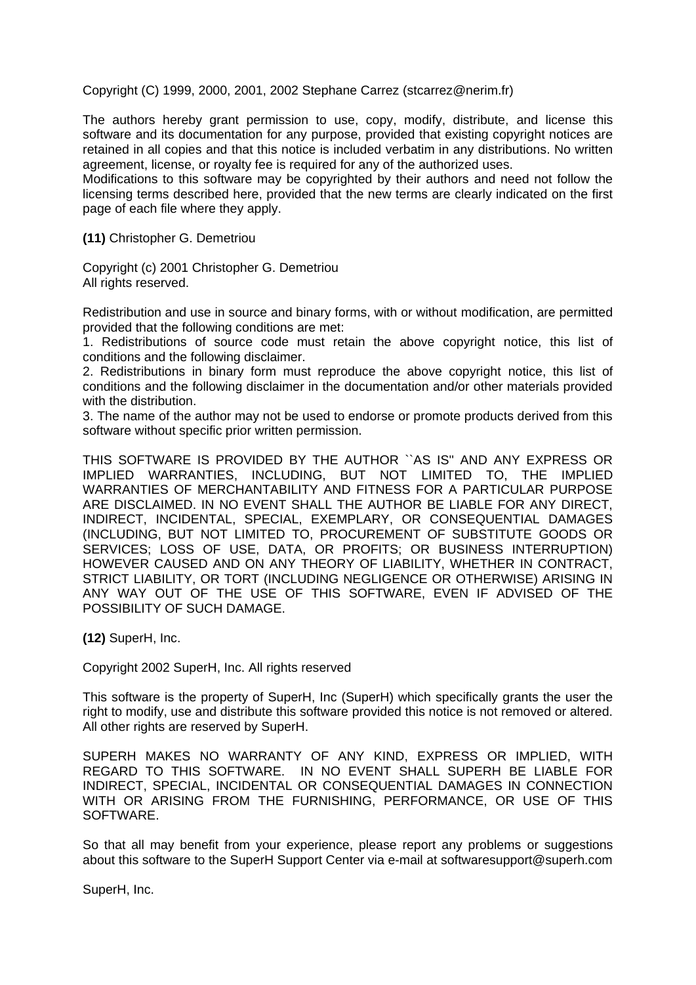Copyright (C) 1999, 2000, 2001, 2002 Stephane Carrez (stcarrez@nerim.fr)

The authors hereby grant permission to use, copy, modify, distribute, and license this software and its documentation for any purpose, provided that existing copyright notices are retained in all copies and that this notice is included verbatim in any distributions. No written agreement, license, or royalty fee is required for any of the authorized uses.

Modifications to this software may be copyrighted by their authors and need not follow the licensing terms described here, provided that the new terms are clearly indicated on the first page of each file where they apply.

**(11)** Christopher G. Demetriou

Copyright (c) 2001 Christopher G. Demetriou All rights reserved.

Redistribution and use in source and binary forms, with or without modification, are permitted provided that the following conditions are met:

1. Redistributions of source code must retain the above copyright notice, this list of conditions and the following disclaimer.

2. Redistributions in binary form must reproduce the above copyright notice, this list of conditions and the following disclaimer in the documentation and/or other materials provided with the distribution.

3. The name of the author may not be used to endorse or promote products derived from this software without specific prior written permission.

THIS SOFTWARE IS PROVIDED BY THE AUTHOR ``AS IS'' AND ANY EXPRESS OR IMPLIED WARRANTIES, INCLUDING, BUT NOT LIMITED TO, THE IMPLIED WARRANTIES OF MERCHANTABILITY AND FITNESS FOR A PARTICULAR PURPOSE ARE DISCLAIMED. IN NO EVENT SHALL THE AUTHOR BE LIABLE FOR ANY DIRECT, INDIRECT, INCIDENTAL, SPECIAL, EXEMPLARY, OR CONSEQUENTIAL DAMAGES (INCLUDING, BUT NOT LIMITED TO, PROCUREMENT OF SUBSTITUTE GOODS OR SERVICES; LOSS OF USE, DATA, OR PROFITS; OR BUSINESS INTERRUPTION) HOWEVER CAUSED AND ON ANY THEORY OF LIABILITY, WHETHER IN CONTRACT, STRICT LIABILITY, OR TORT (INCLUDING NEGLIGENCE OR OTHERWISE) ARISING IN ANY WAY OUT OF THE USE OF THIS SOFTWARE, EVEN IF ADVISED OF THE POSSIBILITY OF SUCH DAMAGE.

**(12)** SuperH, Inc.

Copyright 2002 SuperH, Inc. All rights reserved

This software is the property of SuperH, Inc (SuperH) which specifically grants the user the right to modify, use and distribute this software provided this notice is not removed or altered. All other rights are reserved by SuperH.

SUPERH MAKES NO WARRANTY OF ANY KIND, EXPRESS OR IMPLIED, WITH REGARD TO THIS SOFTWARE. IN NO EVENT SHALL SUPERH BE LIABLE FOR INDIRECT, SPECIAL, INCIDENTAL OR CONSEQUENTIAL DAMAGES IN CONNECTION WITH OR ARISING FROM THE FURNISHING, PERFORMANCE, OR USE OF THIS SOFTWARE.

So that all may benefit from your experience, please report any problems or suggestions about this software to the SuperH Support Center via e-mail at softwaresupport@superh.com

SuperH, Inc.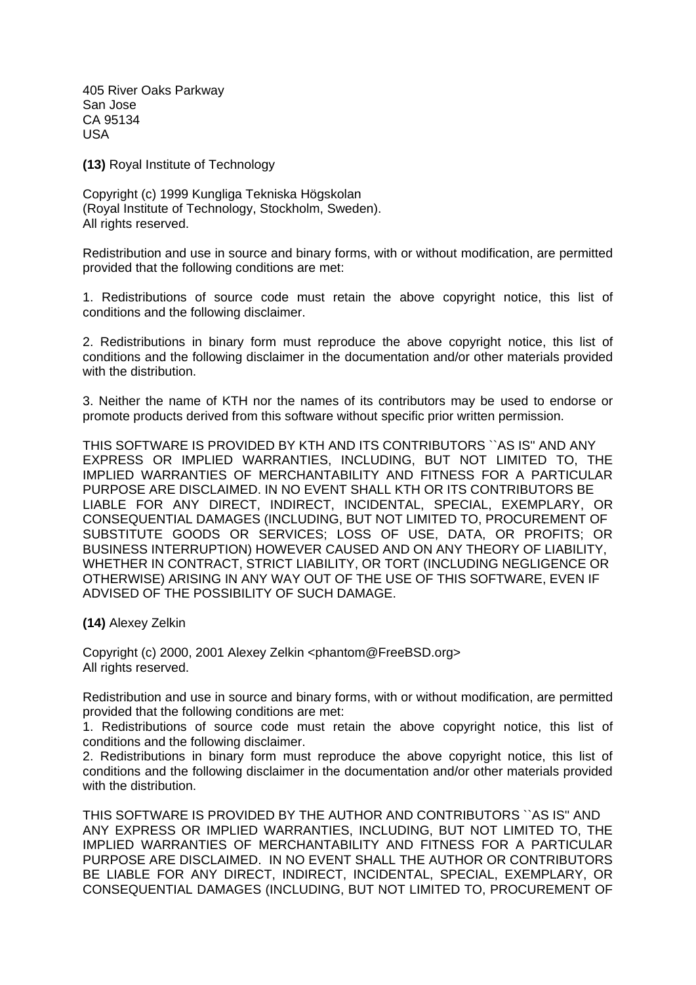405 River Oaks Parkway San Jose CA 95134 USA

**(13)** Royal Institute of Technology

Copyright (c) 1999 Kungliga Tekniska Högskolan (Royal Institute of Technology, Stockholm, Sweden). All rights reserved.

Redistribution and use in source and binary forms, with or without modification, are permitted provided that the following conditions are met:

1. Redistributions of source code must retain the above copyright notice, this list of conditions and the following disclaimer.

2. Redistributions in binary form must reproduce the above copyright notice, this list of conditions and the following disclaimer in the documentation and/or other materials provided with the distribution.

3. Neither the name of KTH nor the names of its contributors may be used to endorse or promote products derived from this software without specific prior written permission.

THIS SOFTWARE IS PROVIDED BY KTH AND ITS CONTRIBUTORS ``AS IS'' AND ANY EXPRESS OR IMPLIED WARRANTIES, INCLUDING, BUT NOT LIMITED TO, THE IMPLIED WARRANTIES OF MERCHANTABILITY AND FITNESS FOR A PARTICULAR PURPOSE ARE DISCLAIMED. IN NO EVENT SHALL KTH OR ITS CONTRIBUTORS BE LIABLE FOR ANY DIRECT, INDIRECT, INCIDENTAL, SPECIAL, EXEMPLARY, OR CONSEQUENTIAL DAMAGES (INCLUDING, BUT NOT LIMITED TO, PROCUREMENT OF SUBSTITUTE GOODS OR SERVICES; LOSS OF USE, DATA, OR PROFITS; OR BUSINESS INTERRUPTION) HOWEVER CAUSED AND ON ANY THEORY OF LIABILITY, WHETHER IN CONTRACT, STRICT LIABILITY, OR TORT (INCLUDING NEGLIGENCE OR OTHERWISE) ARISING IN ANY WAY OUT OF THE USE OF THIS SOFTWARE, EVEN IF ADVISED OF THE POSSIBILITY OF SUCH DAMAGE.

**(14)** Alexey Zelkin

Copyright (c) 2000, 2001 Alexey Zelkin <phantom@FreeBSD.org> All rights reserved.

Redistribution and use in source and binary forms, with or without modification, are permitted provided that the following conditions are met:

1. Redistributions of source code must retain the above copyright notice, this list of conditions and the following disclaimer.

2. Redistributions in binary form must reproduce the above copyright notice, this list of conditions and the following disclaimer in the documentation and/or other materials provided with the distribution.

THIS SOFTWARE IS PROVIDED BY THE AUTHOR AND CONTRIBUTORS ``AS IS'' AND ANY EXPRESS OR IMPLIED WARRANTIES, INCLUDING, BUT NOT LIMITED TO, THE IMPLIED WARRANTIES OF MERCHANTABILITY AND FITNESS FOR A PARTICULAR PURPOSE ARE DISCLAIMED. IN NO EVENT SHALL THE AUTHOR OR CONTRIBUTORS BE LIABLE FOR ANY DIRECT, INDIRECT, INCIDENTAL, SPECIAL, EXEMPLARY, OR CONSEQUENTIAL DAMAGES (INCLUDING, BUT NOT LIMITED TO, PROCUREMENT OF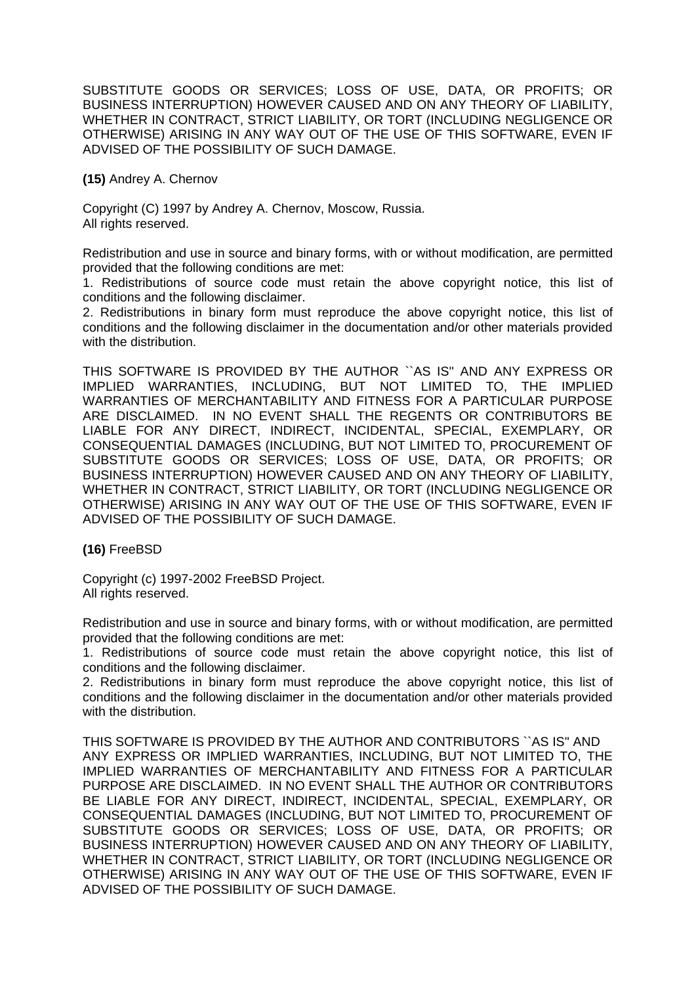SUBSTITUTE GOODS OR SERVICES; LOSS OF USE, DATA, OR PROFITS; OR BUSINESS INTERRUPTION) HOWEVER CAUSED AND ON ANY THEORY OF LIABILITY, WHETHER IN CONTRACT, STRICT LIABILITY, OR TORT (INCLUDING NEGLIGENCE OR OTHERWISE) ARISING IN ANY WAY OUT OF THE USE OF THIS SOFTWARE, EVEN IF ADVISED OF THE POSSIBILITY OF SUCH DAMAGE.

## **(15)** Andrey A. Chernov

Copyright (C) 1997 by Andrey A. Chernov, Moscow, Russia. All rights reserved.

Redistribution and use in source and binary forms, with or without modification, are permitted provided that the following conditions are met:

1. Redistributions of source code must retain the above copyright notice, this list of conditions and the following disclaimer.

2. Redistributions in binary form must reproduce the above copyright notice, this list of conditions and the following disclaimer in the documentation and/or other materials provided with the distribution.

THIS SOFTWARE IS PROVIDED BY THE AUTHOR ``AS IS'' AND ANY EXPRESS OR IMPLIED WARRANTIES, INCLUDING, BUT NOT LIMITED TO, THE IMPLIED WARRANTIES OF MERCHANTABILITY AND FITNESS FOR A PARTICULAR PURPOSE ARE DISCLAIMED. IN NO EVENT SHALL THE REGENTS OR CONTRIBUTORS BE LIABLE FOR ANY DIRECT, INDIRECT, INCIDENTAL, SPECIAL, EXEMPLARY, OR CONSEQUENTIAL DAMAGES (INCLUDING, BUT NOT LIMITED TO, PROCUREMENT OF SUBSTITUTE GOODS OR SERVICES; LOSS OF USE, DATA, OR PROFITS; OR BUSINESS INTERRUPTION) HOWEVER CAUSED AND ON ANY THEORY OF LIABILITY, WHETHER IN CONTRACT, STRICT LIABILITY, OR TORT (INCLUDING NEGLIGENCE OR OTHERWISE) ARISING IN ANY WAY OUT OF THE USE OF THIS SOFTWARE, EVEN IF ADVISED OF THE POSSIBILITY OF SUCH DAMAGE.

**(16)** FreeBSD

Copyright (c) 1997-2002 FreeBSD Project. All rights reserved.

Redistribution and use in source and binary forms, with or without modification, are permitted provided that the following conditions are met:

1. Redistributions of source code must retain the above copyright notice, this list of conditions and the following disclaimer.

2. Redistributions in binary form must reproduce the above copyright notice, this list of conditions and the following disclaimer in the documentation and/or other materials provided with the distribution.

THIS SOFTWARE IS PROVIDED BY THE AUTHOR AND CONTRIBUTORS ``AS IS'' AND ANY EXPRESS OR IMPLIED WARRANTIES, INCLUDING, BUT NOT LIMITED TO, THE IMPLIED WARRANTIES OF MERCHANTABILITY AND FITNESS FOR A PARTICULAR PURPOSE ARE DISCLAIMED. IN NO EVENT SHALL THE AUTHOR OR CONTRIBUTORS BE LIABLE FOR ANY DIRECT, INDIRECT, INCIDENTAL, SPECIAL, EXEMPLARY, OR CONSEQUENTIAL DAMAGES (INCLUDING, BUT NOT LIMITED TO, PROCUREMENT OF SUBSTITUTE GOODS OR SERVICES; LOSS OF USE, DATA, OR PROFITS; OR BUSINESS INTERRUPTION) HOWEVER CAUSED AND ON ANY THEORY OF LIABILITY, WHETHER IN CONTRACT, STRICT LIABILITY, OR TORT (INCLUDING NEGLIGENCE OR OTHERWISE) ARISING IN ANY WAY OUT OF THE USE OF THIS SOFTWARE, EVEN IF ADVISED OF THE POSSIBILITY OF SUCH DAMAGE.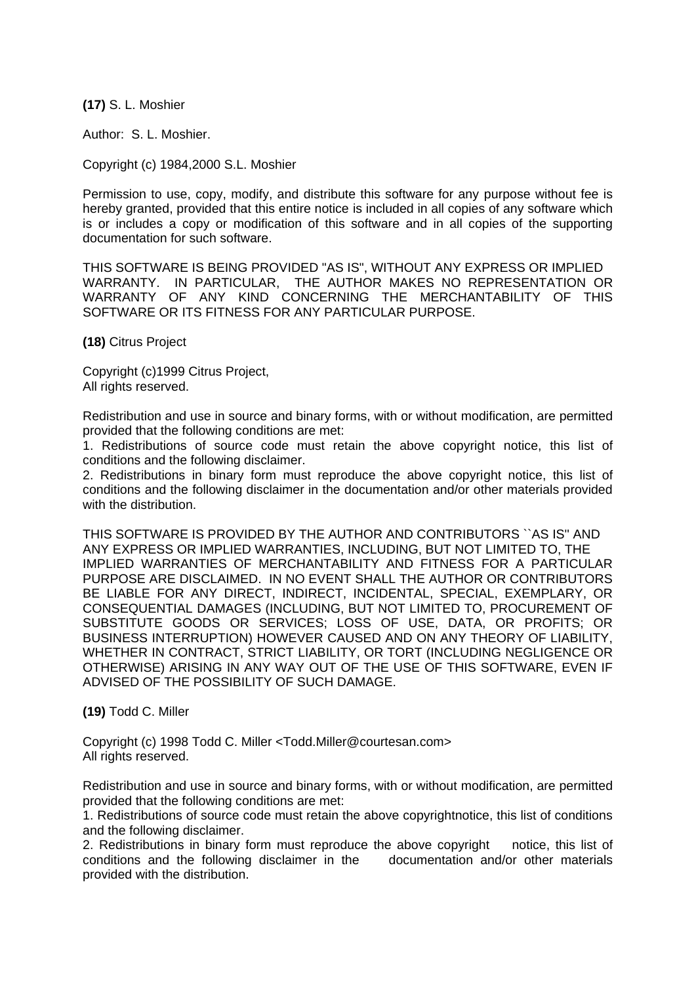**(17)** S. L. Moshier

Author: S. L. Moshier.

Copyright (c) 1984,2000 S.L. Moshier

Permission to use, copy, modify, and distribute this software for any purpose without fee is hereby granted, provided that this entire notice is included in all copies of any software which is or includes a copy or modification of this software and in all copies of the supporting documentation for such software.

THIS SOFTWARE IS BEING PROVIDED "AS IS", WITHOUT ANY EXPRESS OR IMPLIED WARRANTY. IN PARTICULAR, THE AUTHOR MAKES NO REPRESENTATION OR WARRANTY OF ANY KIND CONCERNING THE MERCHANTABILITY OF THIS SOFTWARE OR ITS FITNESS FOR ANY PARTICULAR PURPOSE.

**(18)** Citrus Project

Copyright (c)1999 Citrus Project, All rights reserved.

Redistribution and use in source and binary forms, with or without modification, are permitted provided that the following conditions are met:

1. Redistributions of source code must retain the above copyright notice, this list of conditions and the following disclaimer.

2. Redistributions in binary form must reproduce the above copyright notice, this list of conditions and the following disclaimer in the documentation and/or other materials provided with the distribution.

THIS SOFTWARE IS PROVIDED BY THE AUTHOR AND CONTRIBUTORS ``AS IS'' AND ANY EXPRESS OR IMPLIED WARRANTIES, INCLUDING, BUT NOT LIMITED TO, THE IMPLIED WARRANTIES OF MERCHANTABILITY AND FITNESS FOR A PARTICULAR PURPOSE ARE DISCLAIMED. IN NO EVENT SHALL THE AUTHOR OR CONTRIBUTORS BE LIABLE FOR ANY DIRECT, INDIRECT, INCIDENTAL, SPECIAL, EXEMPLARY, OR CONSEQUENTIAL DAMAGES (INCLUDING, BUT NOT LIMITED TO, PROCUREMENT OF SUBSTITUTE GOODS OR SERVICES; LOSS OF USE, DATA, OR PROFITS; OR BUSINESS INTERRUPTION) HOWEVER CAUSED AND ON ANY THEORY OF LIABILITY, WHETHER IN CONTRACT, STRICT LIABILITY, OR TORT (INCLUDING NEGLIGENCE OR OTHERWISE) ARISING IN ANY WAY OUT OF THE USE OF THIS SOFTWARE, EVEN IF ADVISED OF THE POSSIBILITY OF SUCH DAMAGE.

**(19)** Todd C. Miller

Copyright (c) 1998 Todd C. Miller <Todd.Miller@courtesan.com> All rights reserved.

Redistribution and use in source and binary forms, with or without modification, are permitted provided that the following conditions are met:

1. Redistributions of source code must retain the above copyrightnotice, this list of conditions and the following disclaimer.

2. Redistributions in binary form must reproduce the above copyright notice, this list of conditions and the following disclaimer in the documentation and/or other materials provided with the distribution.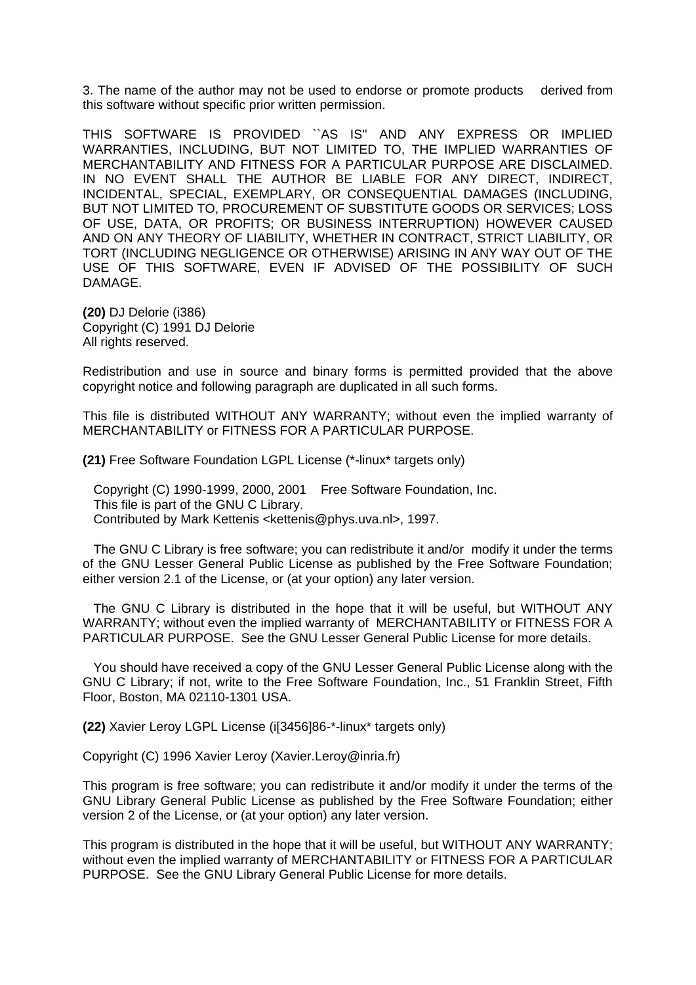3. The name of the author may not be used to endorse or promote products derived from this software without specific prior written permission.

THIS SOFTWARE IS PROVIDED ``AS IS'' AND ANY EXPRESS OR IMPLIED WARRANTIES, INCLUDING, BUT NOT LIMITED TO, THE IMPLIED WARRANTIES OF MERCHANTABILITY AND FITNESS FOR A PARTICULAR PURPOSE ARE DISCLAIMED. IN NO EVENT SHALL THE AUTHOR BE LIABLE FOR ANY DIRECT, INDIRECT, INCIDENTAL, SPECIAL, EXEMPLARY, OR CONSEQUENTIAL DAMAGES (INCLUDING, BUT NOT LIMITED TO, PROCUREMENT OF SUBSTITUTE GOODS OR SERVICES; LOSS OF USE, DATA, OR PROFITS; OR BUSINESS INTERRUPTION) HOWEVER CAUSED AND ON ANY THEORY OF LIABILITY, WHETHER IN CONTRACT, STRICT LIABILITY, OR TORT (INCLUDING NEGLIGENCE OR OTHERWISE) ARISING IN ANY WAY OUT OF THE USE OF THIS SOFTWARE, EVEN IF ADVISED OF THE POSSIBILITY OF SUCH DAMAGE.

**(20)** DJ Delorie (i386) Copyright (C) 1991 DJ Delorie All rights reserved.

Redistribution and use in source and binary forms is permitted provided that the above copyright notice and following paragraph are duplicated in all such forms.

This file is distributed WITHOUT ANY WARRANTY; without even the implied warranty of MERCHANTABILITY or FITNESS FOR A PARTICULAR PURPOSE.

**(21)** Free Software Foundation LGPL License (\*-linux\* targets only)

 Copyright (C) 1990-1999, 2000, 2001 Free Software Foundation, Inc. This file is part of the GNU C Library. Contributed by Mark Kettenis <kettenis@phys.uva.nl>, 1997.

 The GNU C Library is free software; you can redistribute it and/or modify it under the terms of the GNU Lesser General Public License as published by the Free Software Foundation; either version 2.1 of the License, or (at your option) any later version.

 The GNU C Library is distributed in the hope that it will be useful, but WITHOUT ANY WARRANTY; without even the implied warranty of MERCHANTABILITY or FITNESS FOR A PARTICULAR PURPOSE. See the GNU Lesser General Public License for more details.

 You should have received a copy of the GNU Lesser General Public License along with the GNU C Library; if not, write to the Free Software Foundation, Inc., 51 Franklin Street, Fifth Floor, Boston, MA 02110-1301 USA.

**(22)** Xavier Leroy LGPL License (i[3456]86-\*-linux\* targets only)

Copyright (C) 1996 Xavier Leroy (Xavier.Leroy@inria.fr)

This program is free software; you can redistribute it and/or modify it under the terms of the GNU Library General Public License as published by the Free Software Foundation; either version 2 of the License, or (at your option) any later version.

This program is distributed in the hope that it will be useful, but WITHOUT ANY WARRANTY; without even the implied warranty of MERCHANTABILITY or FITNESS FOR A PARTICULAR PURPOSE. See the GNU Library General Public License for more details.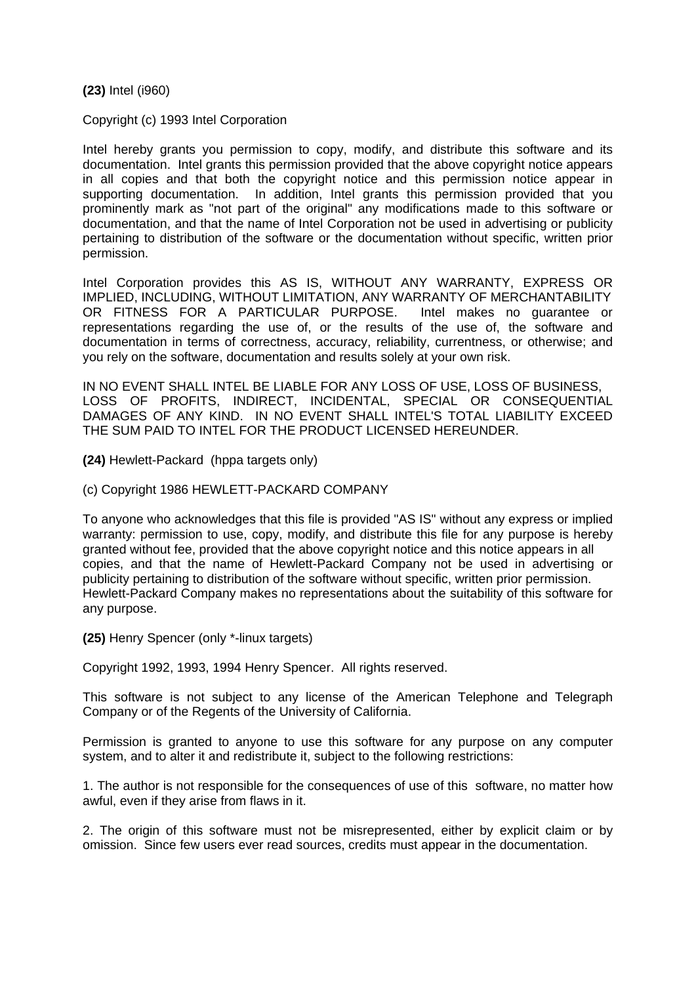**(23)** Intel (i960)

Copyright (c) 1993 Intel Corporation

Intel hereby grants you permission to copy, modify, and distribute this software and its documentation. Intel grants this permission provided that the above copyright notice appears in all copies and that both the copyright notice and this permission notice appear in supporting documentation. In addition, Intel grants this permission provided that you prominently mark as "not part of the original" any modifications made to this software or documentation, and that the name of Intel Corporation not be used in advertising or publicity pertaining to distribution of the software or the documentation without specific, written prior permission.

Intel Corporation provides this AS IS, WITHOUT ANY WARRANTY, EXPRESS OR IMPLIED, INCLUDING, WITHOUT LIMITATION, ANY WARRANTY OF MERCHANTABILITY OR FITNESS FOR A PARTICULAR PURPOSE. Intel makes no guarantee or representations regarding the use of, or the results of the use of, the software and documentation in terms of correctness, accuracy, reliability, currentness, or otherwise; and you rely on the software, documentation and results solely at your own risk.

IN NO EVENT SHALL INTEL BE LIABLE FOR ANY LOSS OF USE, LOSS OF BUSINESS, LOSS OF PROFITS, INDIRECT, INCIDENTAL, SPECIAL OR CONSEQUENTIAL DAMAGES OF ANY KIND. IN NO EVENT SHALL INTEL'S TOTAL LIABILITY EXCEED THE SUM PAID TO INTEL FOR THE PRODUCT LICENSED HEREUNDER.

**(24)** Hewlett-Packard (hppa targets only)

(c) Copyright 1986 HEWLETT-PACKARD COMPANY

To anyone who acknowledges that this file is provided "AS IS" without any express or implied warranty: permission to use, copy, modify, and distribute this file for any purpose is hereby granted without fee, provided that the above copyright notice and this notice appears in all copies, and that the name of Hewlett-Packard Company not be used in advertising or publicity pertaining to distribution of the software without specific, written prior permission. Hewlett-Packard Company makes no representations about the suitability of this software for any purpose.

**(25)** Henry Spencer (only \*-linux targets)

Copyright 1992, 1993, 1994 Henry Spencer. All rights reserved.

This software is not subject to any license of the American Telephone and Telegraph Company or of the Regents of the University of California.

Permission is granted to anyone to use this software for any purpose on any computer system, and to alter it and redistribute it, subject to the following restrictions:

1. The author is not responsible for the consequences of use of this software, no matter how awful, even if they arise from flaws in it.

2. The origin of this software must not be misrepresented, either by explicit claim or by omission. Since few users ever read sources, credits must appear in the documentation.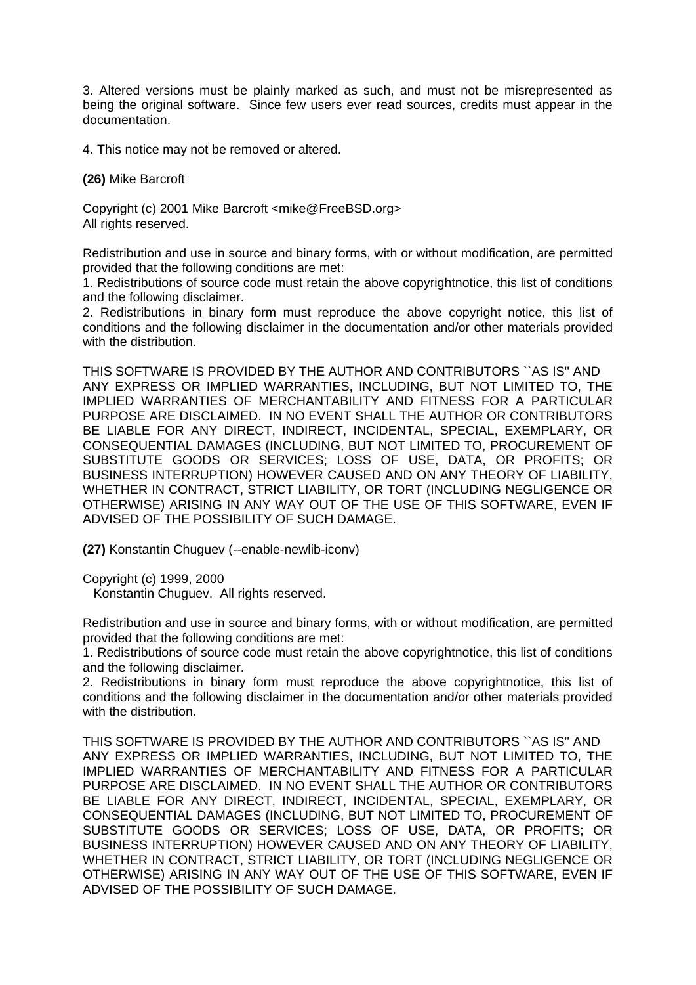3. Altered versions must be plainly marked as such, and must not be misrepresented as being the original software. Since few users ever read sources, credits must appear in the documentation.

4. This notice may not be removed or altered.

**(26)** Mike Barcroft

Copyright (c) 2001 Mike Barcroft <mike@FreeBSD.org> All rights reserved.

Redistribution and use in source and binary forms, with or without modification, are permitted provided that the following conditions are met:

1. Redistributions of source code must retain the above copyrightnotice, this list of conditions and the following disclaimer.

2. Redistributions in binary form must reproduce the above copyright notice, this list of conditions and the following disclaimer in the documentation and/or other materials provided with the distribution.

THIS SOFTWARE IS PROVIDED BY THE AUTHOR AND CONTRIBUTORS ``AS IS'' AND ANY EXPRESS OR IMPLIED WARRANTIES, INCLUDING, BUT NOT LIMITED TO, THE IMPLIED WARRANTIES OF MERCHANTABILITY AND FITNESS FOR A PARTICULAR PURPOSE ARE DISCLAIMED. IN NO EVENT SHALL THE AUTHOR OR CONTRIBUTORS BE LIABLE FOR ANY DIRECT, INDIRECT, INCIDENTAL, SPECIAL, EXEMPLARY, OR CONSEQUENTIAL DAMAGES (INCLUDING, BUT NOT LIMITED TO, PROCUREMENT OF SUBSTITUTE GOODS OR SERVICES; LOSS OF USE, DATA, OR PROFITS; OR BUSINESS INTERRUPTION) HOWEVER CAUSED AND ON ANY THEORY OF LIABILITY, WHETHER IN CONTRACT, STRICT LIABILITY, OR TORT (INCLUDING NEGLIGENCE OR OTHERWISE) ARISING IN ANY WAY OUT OF THE USE OF THIS SOFTWARE, EVEN IF ADVISED OF THE POSSIBILITY OF SUCH DAMAGE.

**(27)** Konstantin Chuguev (--enable-newlib-iconv)

Copyright (c) 1999, 2000

Konstantin Chuguev. All rights reserved.

Redistribution and use in source and binary forms, with or without modification, are permitted provided that the following conditions are met:

1. Redistributions of source code must retain the above copyrightnotice, this list of conditions and the following disclaimer.

2. Redistributions in binary form must reproduce the above copyrightnotice, this list of conditions and the following disclaimer in the documentation and/or other materials provided with the distribution.

THIS SOFTWARE IS PROVIDED BY THE AUTHOR AND CONTRIBUTORS ``AS IS'' AND ANY EXPRESS OR IMPLIED WARRANTIES, INCLUDING, BUT NOT LIMITED TO, THE IMPLIED WARRANTIES OF MERCHANTABILITY AND FITNESS FOR A PARTICULAR PURPOSE ARE DISCLAIMED. IN NO EVENT SHALL THE AUTHOR OR CONTRIBUTORS BE LIABLE FOR ANY DIRECT, INDIRECT, INCIDENTAL, SPECIAL, EXEMPLARY, OR CONSEQUENTIAL DAMAGES (INCLUDING, BUT NOT LIMITED TO, PROCUREMENT OF SUBSTITUTE GOODS OR SERVICES; LOSS OF USE, DATA, OR PROFITS; OR BUSINESS INTERRUPTION) HOWEVER CAUSED AND ON ANY THEORY OF LIABILITY, WHETHER IN CONTRACT, STRICT LIABILITY, OR TORT (INCLUDING NEGLIGENCE OR OTHERWISE) ARISING IN ANY WAY OUT OF THE USE OF THIS SOFTWARE, EVEN IF ADVISED OF THE POSSIBILITY OF SUCH DAMAGE.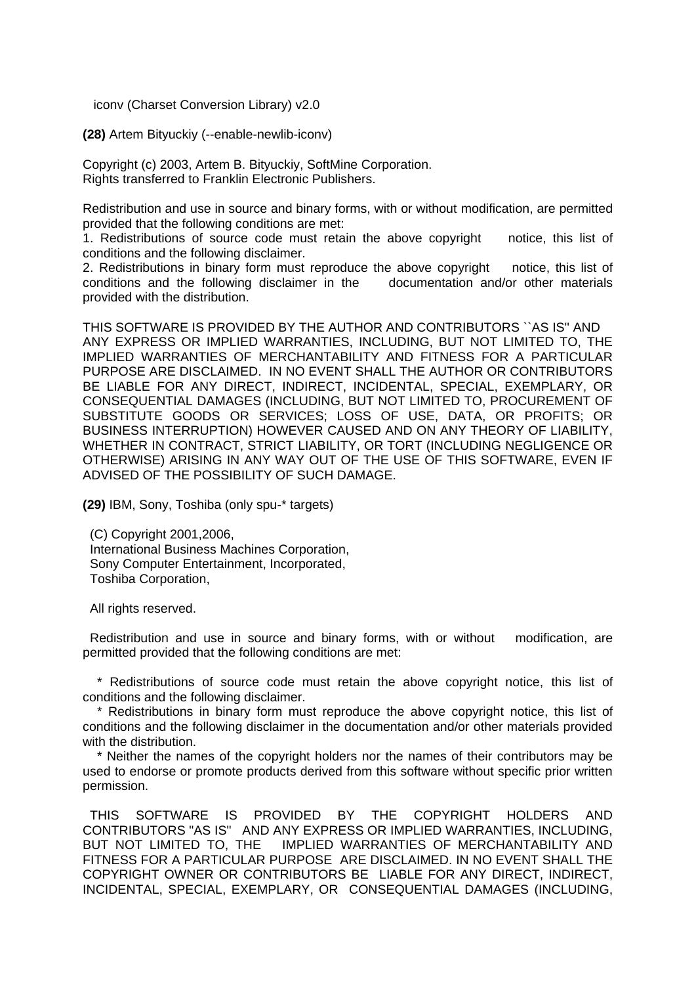iconv (Charset Conversion Library) v2.0

**(28)** Artem Bityuckiy (--enable-newlib-iconv)

Copyright (c) 2003, Artem B. Bityuckiy, SoftMine Corporation. Rights transferred to Franklin Electronic Publishers.

Redistribution and use in source and binary forms, with or without modification, are permitted provided that the following conditions are met:

1. Redistributions of source code must retain the above copyright notice, this list of conditions and the following disclaimer.

2. Redistributions in binary form must reproduce the above copyright notice, this list of conditions and the following disclaimer in the documentation and/or other materials provided with the distribution.

THIS SOFTWARE IS PROVIDED BY THE AUTHOR AND CONTRIBUTORS ``AS IS'' AND ANY EXPRESS OR IMPLIED WARRANTIES, INCLUDING, BUT NOT LIMITED TO, THE IMPLIED WARRANTIES OF MERCHANTABILITY AND FITNESS FOR A PARTICULAR PURPOSE ARE DISCLAIMED. IN NO EVENT SHALL THE AUTHOR OR CONTRIBUTORS BE LIABLE FOR ANY DIRECT, INDIRECT, INCIDENTAL, SPECIAL, EXEMPLARY, OR CONSEQUENTIAL DAMAGES (INCLUDING, BUT NOT LIMITED TO, PROCUREMENT OF SUBSTITUTE GOODS OR SERVICES; LOSS OF USE, DATA, OR PROFITS; OR BUSINESS INTERRUPTION) HOWEVER CAUSED AND ON ANY THEORY OF LIABILITY, WHETHER IN CONTRACT, STRICT LIABILITY, OR TORT (INCLUDING NEGLIGENCE OR OTHERWISE) ARISING IN ANY WAY OUT OF THE USE OF THIS SOFTWARE, EVEN IF ADVISED OF THE POSSIBILITY OF SUCH DAMAGE.

**(29)** IBM, Sony, Toshiba (only spu-\* targets)

 (C) Copyright 2001,2006, International Business Machines Corporation, Sony Computer Entertainment, Incorporated, Toshiba Corporation,

All rights reserved.

 Redistribution and use in source and binary forms, with or without modification, are permitted provided that the following conditions are met:

 \* Redistributions of source code must retain the above copyright notice, this list of conditions and the following disclaimer.

 \* Redistributions in binary form must reproduce the above copyright notice, this list of conditions and the following disclaimer in the documentation and/or other materials provided with the distribution.

Neither the names of the copyright holders nor the names of their contributors may be used to endorse or promote products derived from this software without specific prior written permission.

 THIS SOFTWARE IS PROVIDED BY THE COPYRIGHT HOLDERS AND CONTRIBUTORS "AS IS" AND ANY EXPRESS OR IMPLIED WARRANTIES, INCLUDING, BUT NOT LIMITED TO, THE IMPLIED WARRANTIES OF MERCHANTABILITY AND FITNESS FOR A PARTICULAR PURPOSE ARE DISCLAIMED. IN NO EVENT SHALL THE COPYRIGHT OWNER OR CONTRIBUTORS BE LIABLE FOR ANY DIRECT, INDIRECT, INCIDENTAL, SPECIAL, EXEMPLARY, OR CONSEQUENTIAL DAMAGES (INCLUDING,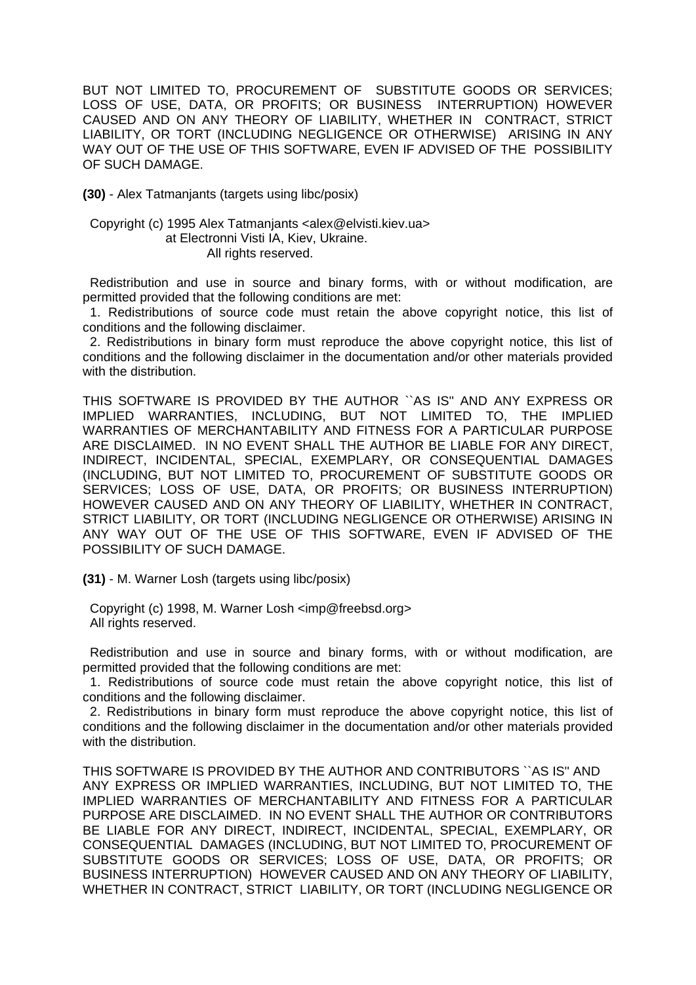BUT NOT LIMITED TO, PROCUREMENT OF SUBSTITUTE GOODS OR SERVICES; LOSS OF USE, DATA, OR PROFITS; OR BUSINESS INTERRUPTION) HOWEVER CAUSED AND ON ANY THEORY OF LIABILITY, WHETHER IN CONTRACT, STRICT LIABILITY, OR TORT (INCLUDING NEGLIGENCE OR OTHERWISE) ARISING IN ANY WAY OUT OF THE USE OF THIS SOFTWARE, EVEN IF ADVISED OF THE POSSIBILITY OF SUCH DAMAGE.

**(30)** - Alex Tatmanjants (targets using libc/posix)

## Copyright (c) 1995 Alex Tatmanjants <alex@elvisti.kiev.ua> at Electronni Visti IA, Kiev, Ukraine. All rights reserved.

 Redistribution and use in source and binary forms, with or without modification, are permitted provided that the following conditions are met:

 1. Redistributions of source code must retain the above copyright notice, this list of conditions and the following disclaimer.

 2. Redistributions in binary form must reproduce the above copyright notice, this list of conditions and the following disclaimer in the documentation and/or other materials provided with the distribution.

THIS SOFTWARE IS PROVIDED BY THE AUTHOR ``AS IS'' AND ANY EXPRESS OR IMPLIED WARRANTIES, INCLUDING, BUT NOT LIMITED TO, THE IMPLIED WARRANTIES OF MERCHANTABILITY AND FITNESS FOR A PARTICULAR PURPOSE ARE DISCLAIMED. IN NO EVENT SHALL THE AUTHOR BE LIABLE FOR ANY DIRECT, INDIRECT, INCIDENTAL, SPECIAL, EXEMPLARY, OR CONSEQUENTIAL DAMAGES (INCLUDING, BUT NOT LIMITED TO, PROCUREMENT OF SUBSTITUTE GOODS OR SERVICES; LOSS OF USE, DATA, OR PROFITS; OR BUSINESS INTERRUPTION) HOWEVER CAUSED AND ON ANY THEORY OF LIABILITY, WHETHER IN CONTRACT, STRICT LIABILITY, OR TORT (INCLUDING NEGLIGENCE OR OTHERWISE) ARISING IN ANY WAY OUT OF THE USE OF THIS SOFTWARE, EVEN IF ADVISED OF THE POSSIBILITY OF SUCH DAMAGE.

**(31)** - M. Warner Losh (targets using libc/posix)

 Copyright (c) 1998, M. Warner Losh <imp@freebsd.org> All rights reserved.

 Redistribution and use in source and binary forms, with or without modification, are permitted provided that the following conditions are met:

 1. Redistributions of source code must retain the above copyright notice, this list of conditions and the following disclaimer.

 2. Redistributions in binary form must reproduce the above copyright notice, this list of conditions and the following disclaimer in the documentation and/or other materials provided with the distribution.

THIS SOFTWARE IS PROVIDED BY THE AUTHOR AND CONTRIBUTORS ``AS IS'' AND ANY EXPRESS OR IMPLIED WARRANTIES, INCLUDING, BUT NOT LIMITED TO, THE IMPLIED WARRANTIES OF MERCHANTABILITY AND FITNESS FOR A PARTICULAR PURPOSE ARE DISCLAIMED. IN NO EVENT SHALL THE AUTHOR OR CONTRIBUTORS BE LIABLE FOR ANY DIRECT, INDIRECT, INCIDENTAL, SPECIAL, EXEMPLARY, OR CONSEQUENTIAL DAMAGES (INCLUDING, BUT NOT LIMITED TO, PROCUREMENT OF SUBSTITUTE GOODS OR SERVICES; LOSS OF USE, DATA, OR PROFITS; OR BUSINESS INTERRUPTION) HOWEVER CAUSED AND ON ANY THEORY OF LIABILITY, WHETHER IN CONTRACT, STRICT LIABILITY, OR TORT (INCLUDING NEGLIGENCE OR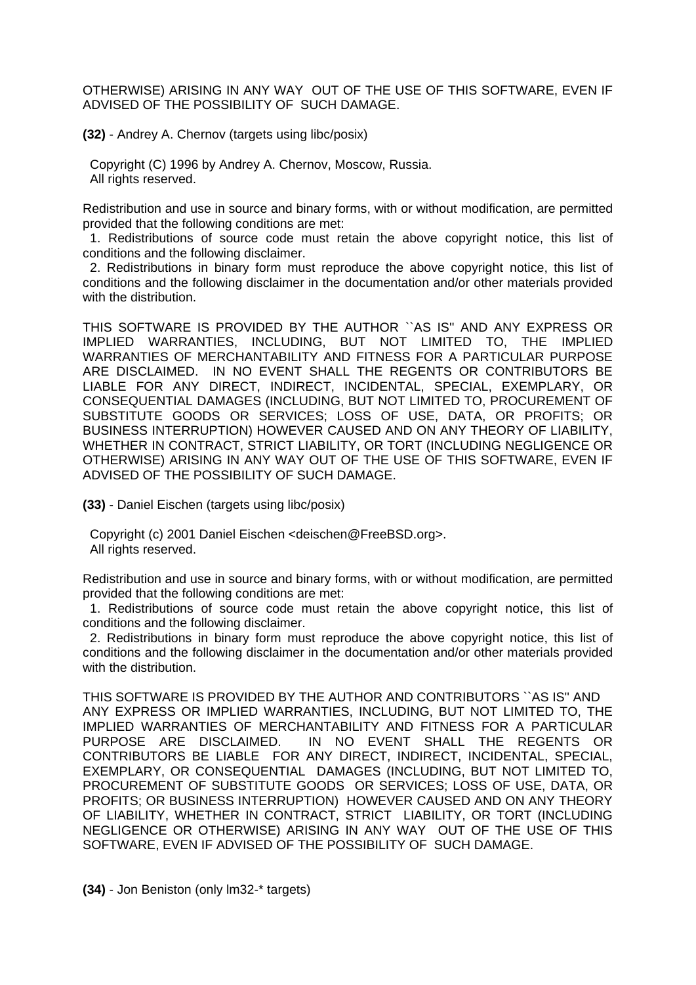OTHERWISE) ARISING IN ANY WAY OUT OF THE USE OF THIS SOFTWARE, EVEN IF ADVISED OF THE POSSIBILITY OF SUCH DAMAGE.

**(32)** - Andrey A. Chernov (targets using libc/posix)

 Copyright (C) 1996 by Andrey A. Chernov, Moscow, Russia. All rights reserved.

Redistribution and use in source and binary forms, with or without modification, are permitted provided that the following conditions are met:

 1. Redistributions of source code must retain the above copyright notice, this list of conditions and the following disclaimer.

 2. Redistributions in binary form must reproduce the above copyright notice, this list of conditions and the following disclaimer in the documentation and/or other materials provided with the distribution.

THIS SOFTWARE IS PROVIDED BY THE AUTHOR ``AS IS'' AND ANY EXPRESS OR IMPLIED WARRANTIES, INCLUDING, BUT NOT LIMITED TO, THE IMPLIED WARRANTIES OF MERCHANTABILITY AND FITNESS FOR A PARTICULAR PURPOSE ARE DISCLAIMED. IN NO EVENT SHALL THE REGENTS OR CONTRIBUTORS BE LIABLE FOR ANY DIRECT, INDIRECT, INCIDENTAL, SPECIAL, EXEMPLARY, OR CONSEQUENTIAL DAMAGES (INCLUDING, BUT NOT LIMITED TO, PROCUREMENT OF SUBSTITUTE GOODS OR SERVICES; LOSS OF USE, DATA, OR PROFITS; OR BUSINESS INTERRUPTION) HOWEVER CAUSED AND ON ANY THEORY OF LIABILITY, WHETHER IN CONTRACT, STRICT LIABILITY, OR TORT (INCLUDING NEGLIGENCE OR OTHERWISE) ARISING IN ANY WAY OUT OF THE USE OF THIS SOFTWARE, EVEN IF ADVISED OF THE POSSIBILITY OF SUCH DAMAGE.

**(33)** - Daniel Eischen (targets using libc/posix)

 Copyright (c) 2001 Daniel Eischen <deischen@FreeBSD.org>. All rights reserved.

Redistribution and use in source and binary forms, with or without modification, are permitted provided that the following conditions are met:

 1. Redistributions of source code must retain the above copyright notice, this list of conditions and the following disclaimer.

 2. Redistributions in binary form must reproduce the above copyright notice, this list of conditions and the following disclaimer in the documentation and/or other materials provided with the distribution.

THIS SOFTWARE IS PROVIDED BY THE AUTHOR AND CONTRIBUTORS ``AS IS'' AND ANY EXPRESS OR IMPLIED WARRANTIES, INCLUDING, BUT NOT LIMITED TO, THE IMPLIED WARRANTIES OF MERCHANTABILITY AND FITNESS FOR A PARTICULAR PURPOSE ARE DISCLAIMED. IN NO EVENT SHALL THE REGENTS OR CONTRIBUTORS BE LIABLE FOR ANY DIRECT, INDIRECT, INCIDENTAL, SPECIAL, EXEMPLARY, OR CONSEQUENTIAL DAMAGES (INCLUDING, BUT NOT LIMITED TO, PROCUREMENT OF SUBSTITUTE GOODS OR SERVICES; LOSS OF USE, DATA, OR PROFITS; OR BUSINESS INTERRUPTION) HOWEVER CAUSED AND ON ANY THEORY OF LIABILITY, WHETHER IN CONTRACT, STRICT LIABILITY, OR TORT (INCLUDING NEGLIGENCE OR OTHERWISE) ARISING IN ANY WAY OUT OF THE USE OF THIS SOFTWARE, EVEN IF ADVISED OF THE POSSIBILITY OF SUCH DAMAGE.

**(34)** - Jon Beniston (only lm32-\* targets)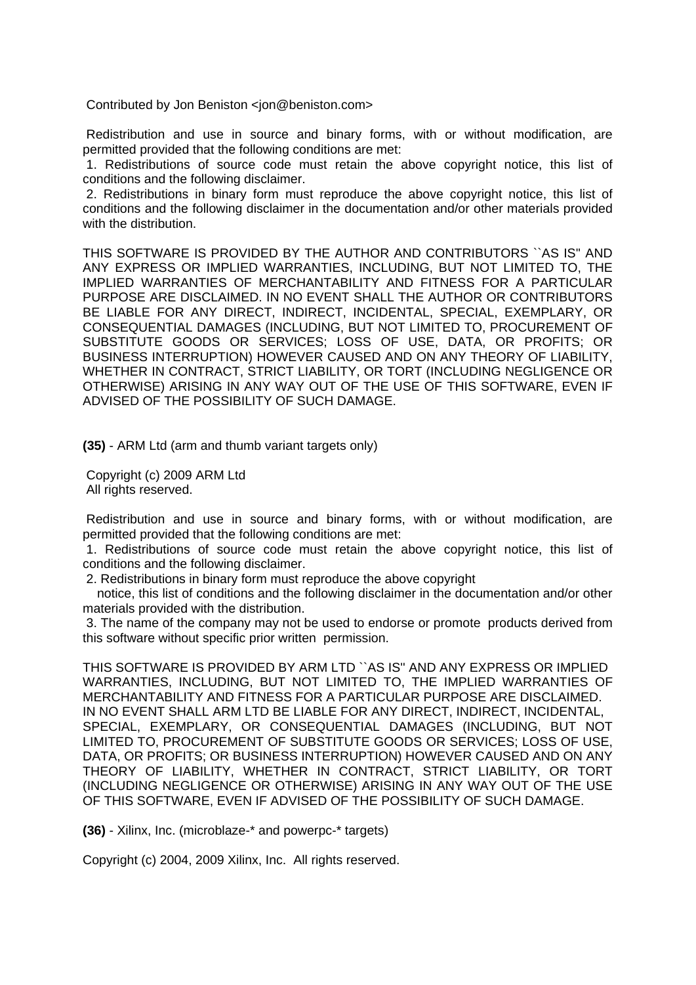Contributed by Jon Beniston <ion@beniston.com>

Redistribution and use in source and binary forms, with or without modification, are permitted provided that the following conditions are met:

1. Redistributions of source code must retain the above copyright notice, this list of conditions and the following disclaimer.

2. Redistributions in binary form must reproduce the above copyright notice, this list of conditions and the following disclaimer in the documentation and/or other materials provided with the distribution.

THIS SOFTWARE IS PROVIDED BY THE AUTHOR AND CONTRIBUTORS ``AS IS'' AND ANY EXPRESS OR IMPLIED WARRANTIES, INCLUDING, BUT NOT LIMITED TO, THE IMPLIED WARRANTIES OF MERCHANTABILITY AND FITNESS FOR A PARTICULAR PURPOSE ARE DISCLAIMED. IN NO EVENT SHALL THE AUTHOR OR CONTRIBUTORS BE LIABLE FOR ANY DIRECT, INDIRECT, INCIDENTAL, SPECIAL, EXEMPLARY, OR CONSEQUENTIAL DAMAGES (INCLUDING, BUT NOT LIMITED TO, PROCUREMENT OF SUBSTITUTE GOODS OR SERVICES; LOSS OF USE, DATA, OR PROFITS; OR BUSINESS INTERRUPTION) HOWEVER CAUSED AND ON ANY THEORY OF LIABILITY, WHETHER IN CONTRACT, STRICT LIABILITY, OR TORT (INCLUDING NEGLIGENCE OR OTHERWISE) ARISING IN ANY WAY OUT OF THE USE OF THIS SOFTWARE, EVEN IF ADVISED OF THE POSSIBILITY OF SUCH DAMAGE.

**(35)** - ARM Ltd (arm and thumb variant targets only)

Copyright (c) 2009 ARM Ltd All rights reserved.

Redistribution and use in source and binary forms, with or without modification, are permitted provided that the following conditions are met:

1. Redistributions of source code must retain the above copyright notice, this list of conditions and the following disclaimer.

2. Redistributions in binary form must reproduce the above copyright

 notice, this list of conditions and the following disclaimer in the documentation and/or other materials provided with the distribution.

3. The name of the company may not be used to endorse or promote products derived from this software without specific prior written permission.

THIS SOFTWARE IS PROVIDED BY ARM LTD ``AS IS'' AND ANY EXPRESS OR IMPLIED WARRANTIES, INCLUDING, BUT NOT LIMITED TO, THE IMPLIED WARRANTIES OF MERCHANTABILITY AND FITNESS FOR A PARTICULAR PURPOSE ARE DISCLAIMED. IN NO EVENT SHALL ARM LTD BE LIABLE FOR ANY DIRECT, INDIRECT, INCIDENTAL, SPECIAL, EXEMPLARY, OR CONSEQUENTIAL DAMAGES (INCLUDING, BUT NOT LIMITED TO, PROCUREMENT OF SUBSTITUTE GOODS OR SERVICES; LOSS OF USE, DATA, OR PROFITS; OR BUSINESS INTERRUPTION) HOWEVER CAUSED AND ON ANY THEORY OF LIABILITY, WHETHER IN CONTRACT, STRICT LIABILITY, OR TORT (INCLUDING NEGLIGENCE OR OTHERWISE) ARISING IN ANY WAY OUT OF THE USE OF THIS SOFTWARE, EVEN IF ADVISED OF THE POSSIBILITY OF SUCH DAMAGE.

**(36)** - Xilinx, Inc. (microblaze-\* and powerpc-\* targets)

Copyright (c) 2004, 2009 Xilinx, Inc. All rights reserved.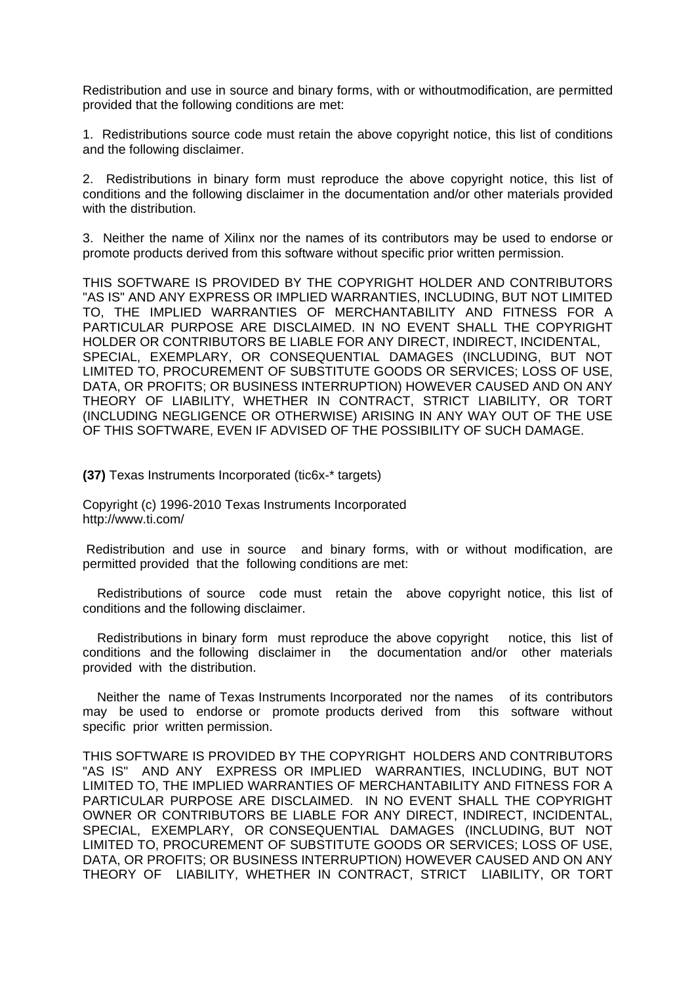Redistribution and use in source and binary forms, with or withoutmodification, are permitted provided that the following conditions are met:

1. Redistributions source code must retain the above copyright notice, this list of conditions and the following disclaimer.

2. Redistributions in binary form must reproduce the above copyright notice, this list of conditions and the following disclaimer in the documentation and/or other materials provided with the distribution.

3. Neither the name of Xilinx nor the names of its contributors may be used to endorse or promote products derived from this software without specific prior written permission.

THIS SOFTWARE IS PROVIDED BY THE COPYRIGHT HOLDER AND CONTRIBUTORS "AS IS" AND ANY EXPRESS OR IMPLIED WARRANTIES, INCLUDING, BUT NOT LIMITED TO, THE IMPLIED WARRANTIES OF MERCHANTABILITY AND FITNESS FOR A PARTICULAR PURPOSE ARE DISCLAIMED. IN NO EVENT SHALL THE COPYRIGHT HOLDER OR CONTRIBUTORS BE LIABLE FOR ANY DIRECT, INDIRECT, INCIDENTAL, SPECIAL, EXEMPLARY, OR CONSEQUENTIAL DAMAGES (INCLUDING, BUT NOT LIMITED TO, PROCUREMENT OF SUBSTITUTE GOODS OR SERVICES; LOSS OF USE, DATA, OR PROFITS; OR BUSINESS INTERRUPTION) HOWEVER CAUSED AND ON ANY THEORY OF LIABILITY, WHETHER IN CONTRACT, STRICT LIABILITY, OR TORT (INCLUDING NEGLIGENCE OR OTHERWISE) ARISING IN ANY WAY OUT OF THE USE OF THIS SOFTWARE, EVEN IF ADVISED OF THE POSSIBILITY OF SUCH DAMAGE.

**(37)** Texas Instruments Incorporated (tic6x-\* targets)

Copyright (c) 1996-2010 Texas Instruments Incorporated http://www.ti.com/

Redistribution and use in source and binary forms, with or without modification, are permitted provided that the following conditions are met:

 Redistributions of source code must retain the above copyright notice, this list of conditions and the following disclaimer.

 Redistributions in binary form must reproduce the above copyright notice, this list of conditions and the following disclaimer in the documentation and/or other materials provided with the distribution.

 Neither the name of Texas Instruments Incorporated nor the names of its contributors may be used to endorse or promote products derived from this software without specific prior written permission.

THIS SOFTWARE IS PROVIDED BY THE COPYRIGHT HOLDERS AND CONTRIBUTORS "AS IS" AND ANY EXPRESS OR IMPLIED WARRANTIES, INCLUDING, BUT NOT LIMITED TO, THE IMPLIED WARRANTIES OF MERCHANTABILITY AND FITNESS FOR A PARTICULAR PURPOSE ARE DISCLAIMED. IN NO EVENT SHALL THE COPYRIGHT OWNER OR CONTRIBUTORS BE LIABLE FOR ANY DIRECT, INDIRECT, INCIDENTAL, SPECIAL, EXEMPLARY, OR CONSEQUENTIAL DAMAGES (INCLUDING, BUT NOT LIMITED TO, PROCUREMENT OF SUBSTITUTE GOODS OR SERVICES; LOSS OF USE, DATA, OR PROFITS; OR BUSINESS INTERRUPTION) HOWEVER CAUSED AND ON ANY THEORY OF LIABILITY, WHETHER IN CONTRACT, STRICT LIABILITY, OR TORT